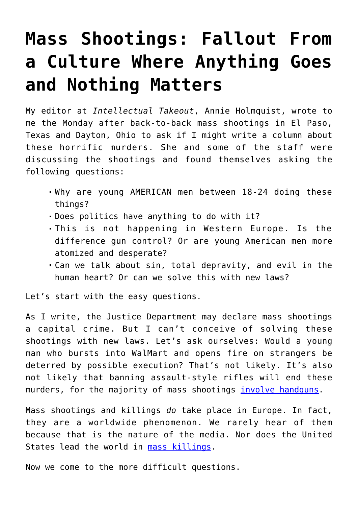## **[Mass Shootings: Fallout From](https://intellectualtakeout.org/2019/08/mass-shootings-fallout-from-a-culture-where-anything-goes-and-nothing-matters/) [a Culture Where Anything Goes](https://intellectualtakeout.org/2019/08/mass-shootings-fallout-from-a-culture-where-anything-goes-and-nothing-matters/) [and Nothing Matters](https://intellectualtakeout.org/2019/08/mass-shootings-fallout-from-a-culture-where-anything-goes-and-nothing-matters/)**

My editor at *Intellectual Takeout*, Annie Holmquist, wrote to me the Monday after back-to-back mass shootings in El Paso, Texas and Dayton, Ohio to ask if I might write a column about these horrific murders. She and some of the staff were discussing the shootings and found themselves asking the following questions:

- Why are young AMERICAN men between 18-24 doing these things?
- Does politics have anything to do with it?
- This is not happening in Western Europe. Is the difference gun control? Or are young American men more atomized and desperate?
- Can we talk about sin, total depravity, and evil in the human heart? Or can we solve this with new laws?

Let's start with the easy questions.

As I write, the Justice Department may declare mass shootings a capital crime. But I can't conceive of solving these shootings with new laws. Let's ask ourselves: Would a young man who bursts into WalMart and opens fire on strangers be deterred by possible execution? That's not likely. It's also not likely that banning assault-style rifles will end these murders, for the majority of mass shootings *involve handguns*.

Mass shootings and killings *do* take place in Europe. In fact, they are a worldwide phenomenon. We rarely hear of them because that is the nature of the media. Nor does the United States lead the world in [mass killings](https://nypost.com/2018/08/30/america-doesnt-actually-lead-the-world-in-mass-shootings/).

Now we come to the more difficult questions.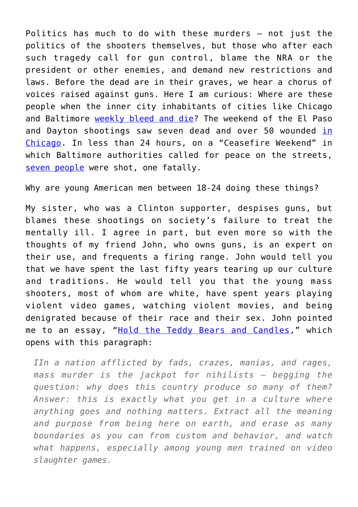Politics has much to do with these murders – not just the politics of the shooters themselves, but those who after each such tragedy call for gun control, blame the NRA or the president or other enemies, and demand new restrictions and laws. Before the dead are in their graves, we hear a chorus of voices raised against guns. Here I am curious: Where are these people when the inner city inhabitants of cities like Chicago and Baltimore [weekly bleed and die](https://www.chicagotribune.com/news/breaking/ct-chicago-homicides-data-tracker-htmlstory.html)? The weekend of the El Paso and Dayton shootings saw seven dead and over 50 wounded [in](https://www.nytimes.com/2019/08/05/us/chicago-violence-guns.html) [Chicago](https://www.nytimes.com/2019/08/05/us/chicago-violence-guns.html). In less than 24 hours, on a "Ceasefire Weekend" in which Baltimore authorities called for peace on the streets, [seven people](https://www.baltimoresun.com/news/crime/bs-md-ci-shooting-20190803-lgfvfsayljhzliyxv7aowkws5m-story.html) were shot, one fatally.

Why are young American men between 18-24 doing these things?

My sister, who was a Clinton supporter, despises guns, but blames these shootings on society's failure to treat the mentally ill. I agree in part, but even more so with the thoughts of my friend John, who owns guns, is an expert on their use, and frequents a firing range. John would tell you that we have spent the last fifty years tearing up our culture and traditions. He would tell you that the young mass shooters, most of whom are white, have spent years playing violent video games, watching violent movies, and being denigrated because of their race and their sex. John pointed me to an essay, "[Hold the Teddy Bears and Candles](https://kunstler.com/clusterfuck-nation/hold-the-teddy-bears-and-candles/)," which opens with this paragraph:

*IIn a nation afflicted by fads, crazes, manias, and rages, mass murder is the jackpot for nihilists — begging the question: why does this country produce so many of them? Answer: this is exactly what you get in a culture where anything goes and nothing matters. Extract all the meaning and purpose from being here on earth, and erase as many boundaries as you can from custom and behavior, and watch what happens, especially among young men trained on video slaughter games.*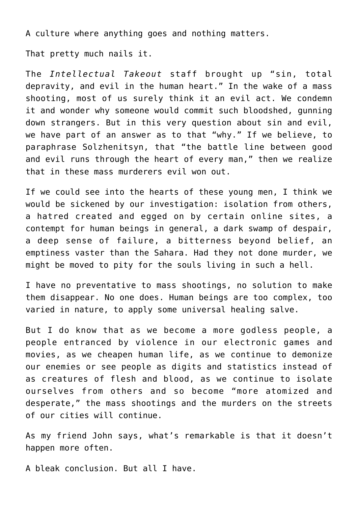A culture where anything goes and nothing matters.

That pretty much nails it.

The *Intellectual Takeout* staff brought up "sin, total depravity, and evil in the human heart." In the wake of a mass shooting, most of us surely think it an evil act. We condemn it and wonder why someone would commit such bloodshed, gunning down strangers. But in this very question about sin and evil, we have part of an answer as to that "why." If we believe, to paraphrase Solzhenitsyn, that "the battle line between good and evil runs through the heart of every man," then we realize that in these mass murderers evil won out.

If we could see into the hearts of these young men, I think we would be sickened by our investigation: isolation from others, a hatred created and egged on by certain online sites, a contempt for human beings in general, a dark swamp of despair, a deep sense of failure, a bitterness beyond belief, an emptiness vaster than the Sahara. Had they not done murder, we might be moved to pity for the souls living in such a hell.

I have no preventative to mass shootings, no solution to make them disappear. No one does. Human beings are too complex, too varied in nature, to apply some universal healing salve.

But I do know that as we become a more godless people, a people entranced by violence in our electronic games and movies, as we cheapen human life, as we continue to demonize our enemies or see people as digits and statistics instead of as creatures of flesh and blood, as we continue to isolate ourselves from others and so become "more atomized and desperate," the mass shootings and the murders on the streets of our cities will continue.

As my friend John says, what's remarkable is that it doesn't happen more often.

A bleak conclusion. But all I have.